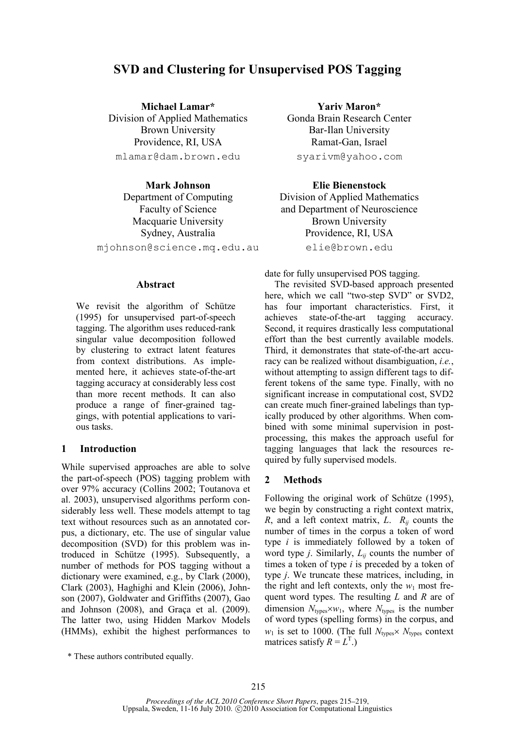# **SVD and Clustering for Unsupervised POS Tagging**

**Michael Lamar\***  Division of Applied Mathematics Brown University Providence, RI, USA mlamar@dam.brown.edu

**Mark Johnson**  Department of Computing Faculty of Science Macquarie University Sydney, Australia mjohnson@science.mq.edu.au

#### **Abstract**

We revisit the algorithm of Schütze (1995) for unsupervised part-of-speech tagging. The algorithm uses reduced-rank singular value decomposition followed by clustering to extract latent features from context distributions. As implemented here, it achieves state-of-the-art tagging accuracy at considerably less cost than more recent methods. It can also produce a range of finer-grained taggings, with potential applications to various tasks.

#### **1 Introduction**

While supervised approaches are able to solve the part-of-speech (POS) tagging problem with over 97% accuracy (Collins 2002; Toutanova et al. 2003), unsupervised algorithms perform considerably less well. These models attempt to tag text without resources such as an annotated corpus, a dictionary, etc. The use of singular value decomposition (SVD) for this problem was introduced in Schütze (1995). Subsequently, a number of methods for POS tagging without a dictionary were examined, e.g., by Clark (2000), Clark (2003), Haghighi and Klein (2006), Johnson (2007), Goldwater and Griffiths (2007), Gao and Johnson (2008), and Graça et al. (2009). The latter two, using Hidden Markov Models (HMMs), exhibit the highest performances to

**Yariv Maron\***  Gonda Brain Research Center Bar-Ilan University Ramat-Gan, Israel syarivm@yahoo.com

**Elie Bienenstock** 

Division of Applied Mathematics and Department of Neuroscience Brown University Providence, RI, USA elie@brown.edu

date for fully unsupervised POS tagging.

The revisited SVD-based approach presented here, which we call "two-step SVD" or SVD2, has four important characteristics. First, it achieves state-of-the-art tagging accuracy. Second, it requires drastically less computational effort than the best currently available models. Third, it demonstrates that state-of-the-art accuracy can be realized without disambiguation, *i.e.*, without attempting to assign different tags to different tokens of the same type. Finally, with no significant increase in computational cost, SVD2 can create much finer-grained labelings than typically produced by other algorithms. When combined with some minimal supervision in postprocessing, this makes the approach useful for tagging languages that lack the resources required by fully supervised models.

# **2 Methods**

Following the original work of Schütze (1995), we begin by constructing a right context matrix, *R*, and a left context matrix, *L*. *Rij* counts the number of times in the corpus a token of word type *i* is immediately followed by a token of word type *j*. Similarly, *Lij* counts the number of times a token of type *i* is preceded by a token of type *j*. We truncate these matrices, including, in the right and left contexts, only the  $w_1$  most frequent word types. The resulting *L* and *R* are of dimension  $N_{\text{tves}} \times w_1$ , where  $N_{\text{tves}}$  is the number of word types (spelling forms) in the corpus, and  $w_1$  is set to 1000. (The full  $N_{\text{types}} \times N_{\text{types}}$  context matrices satisfy  $R = L<sup>T</sup>$ .)

<sup>\*</sup> These authors contributed equally.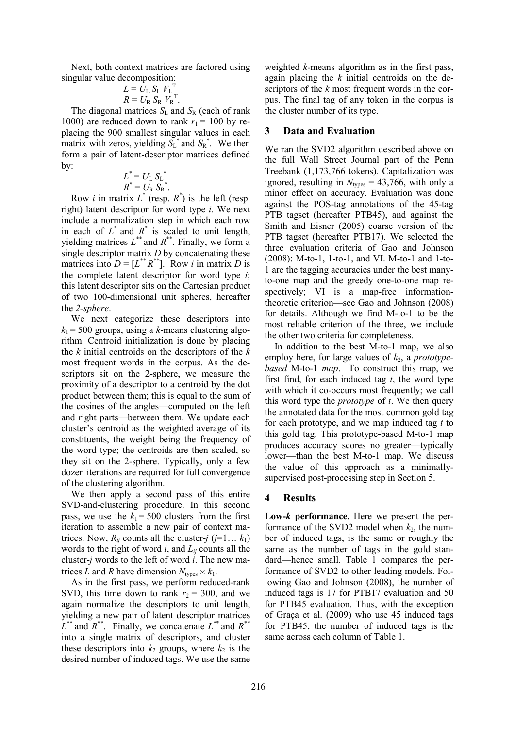Next, both context matrices are factored using singular value decomposition:

$$
L = \bar{U}_{\rm L} S_{\rm L} V_{\rm L}^{\rm T}
$$

$$
R = U_{\rm R} S_{\rm R} V_{\rm R}^{\rm T}.
$$

The diagonal matrices  $S_L$  and  $S_R$  (each of rank 1000) are reduced down to rank  $r_1$  = 100 by replacing the 900 smallest singular values in each matrix with zeros, yielding  $S_L^*$  and  $S_R^*$ . We then form a pair of latent-descriptor matrices defined by:

$$
L^* = UL SL*
$$
  

$$
R^* = UR SR*.
$$

Row *i* in matrix  $L^*$  (resp.  $R^*$ ) is the left (resp. right) latent descriptor for word type *i*. We next include a normalization step in which each row in each of  $L^*$  and  $R^*$  is scaled to unit length, yielding matrices  $L^{**}$  and  $R^{**}$ . Finally, we form a single descriptor matrix *D* by concatenating these matrices into  $D = [L^{**}R^{**}]$ . Row *i* in matrix *D* is the complete latent descriptor for word type *i*; this latent descriptor sits on the Cartesian product of two 100-dimensional unit spheres, hereafter the *2-sphere*.

We next categorize these descriptors into  $k_1$  = 500 groups, using a *k*-means clustering algorithm. Centroid initialization is done by placing the *k* initial centroids on the descriptors of the *k* most frequent words in the corpus. As the descriptors sit on the 2-sphere, we measure the proximity of a descriptor to a centroid by the dot product between them; this is equal to the sum of the cosines of the angles—computed on the left and right parts—between them. We update each cluster's centroid as the weighted average of its constituents, the weight being the frequency of the word type; the centroids are then scaled, so they sit on the 2-sphere. Typically, only a few dozen iterations are required for full convergence of the clustering algorithm.

We then apply a second pass of this entire SVD-and-clustering procedure. In this second pass, we use the  $k_1$  = 500 clusters from the first iteration to assemble a new pair of context matrices. Now,  $R_{ij}$  counts all the cluster-*j* (*j*=1...  $k_1$ ) words to the right of word *i*, and *Lij* counts all the cluster-*j* words to the left of word *i*. The new matrices *L* and *R* have dimension  $N_{\text{tubes}} \times k_1$ .

As in the first pass, we perform reduced-rank SVD, this time down to rank  $r_2$  = 300, and we again normalize the descriptors to unit length, yielding a new pair of latent descriptor matrices  $L^*$  and  $R^*$ . Finally, we concatenate  $L^*$  and  $R^*$ into a single matrix of descriptors, and cluster these descriptors into  $k_2$  groups, where  $k_2$  is the desired number of induced tags. We use the same

weighted *k*-means algorithm as in the first pass, again placing the *k* initial centroids on the descriptors of the *k* most frequent words in the corpus. The final tag of any token in the corpus is the cluster number of its type.

### **3 Data and Evaluation**

We ran the SVD2 algorithm described above on the full Wall Street Journal part of the Penn Treebank (1,173,766 tokens). Capitalization was ignored, resulting in  $N_{\text{types}} = 43,766$ , with only a minor effect on accuracy. Evaluation was done against the POS-tag annotations of the 45-tag PTB tagset (hereafter PTB45), and against the Smith and Eisner (2005) coarse version of the PTB tagset (hereafter PTB17). We selected the three evaluation criteria of Gao and Johnson (2008): M-to-1, 1-to-1, and VI. M-to-1 and 1-to-1 are the tagging accuracies under the best manyto-one map and the greedy one-to-one map respectively; VI is a map-free informationtheoretic criterion—see Gao and Johnson (2008) for details. Although we find M-to-1 to be the most reliable criterion of the three, we include the other two criteria for completeness.

In addition to the best M-to-1 map, we also employ here, for large values of *k*2, a *prototypebased* M-to-1 *map*. To construct this map, we first find, for each induced tag *t*, the word type with which it co-occurs most frequently; we call this word type the *prototype* of *t*. We then query the annotated data for the most common gold tag for each prototype, and we map induced tag *t* to this gold tag. This prototype-based M-to-1 map produces accuracy scores no greater—typically lower—than the best M-to-1 map. We discuss the value of this approach as a minimallysupervised post-processing step in Section 5.

# **4 Results**

**Low-***k* **performance.** Here we present the performance of the SVD2 model when  $k_2$ , the number of induced tags, is the same or roughly the same as the number of tags in the gold standard—hence small. Table 1 compares the performance of SVD2 to other leading models. Following Gao and Johnson (2008), the number of induced tags is 17 for PTB17 evaluation and 50 for PTB45 evaluation. Thus, with the exception of Graça et al. (2009) who use 45 induced tags for PTB45, the number of induced tags is the same across each column of Table 1.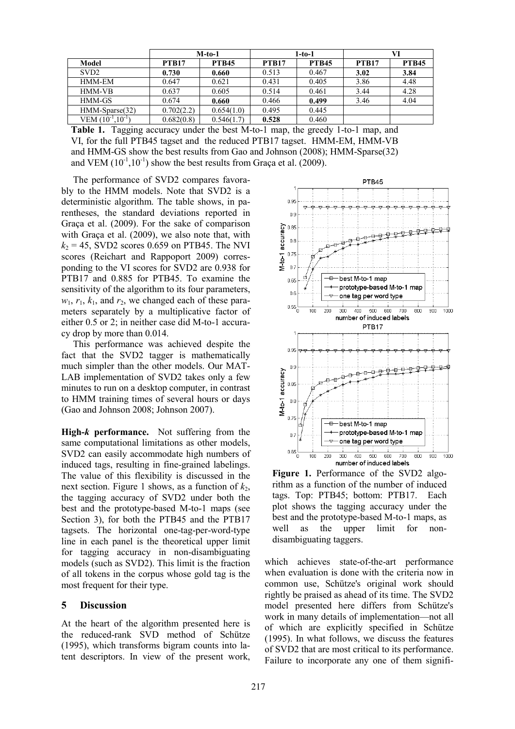|                          | $M$ -to-1    |              | 1-to-1       |              | VI           |              |
|--------------------------|--------------|--------------|--------------|--------------|--------------|--------------|
| Model                    | <b>PTB17</b> | <b>PTB45</b> | <b>PTB17</b> | <b>PTB45</b> | <b>PTB17</b> | <b>PTB45</b> |
| SVD <sub>2</sub>         | 0.730        | 0.660        | 0.513        | 0.467        | 3.02         | 3.84         |
| HMM-EM                   | 0.647        | 0.621        | 0.431        | 0.405        | 3.86         | 4.48         |
| <b>HMM-VB</b>            | 0.637        | 0.605        | 0.514        | 0.461        | 3.44         | 4.28         |
| HMM-GS                   | 0.674        | 0.660        | 0.466        | 0.499        | 3.46         | 4.04         |
| HMM-Sparse(32)           | 0.702(2.2)   | 0.654(1.0)   | 0.495        | 0.445        |              |              |
| VEM $(10^{-1}, 10^{-1})$ | 0.682(0.8)   | 0.546(1.7)   | 0.528        | 0.460        |              |              |

**Table 1.** Tagging accuracy under the best M-to-1 map, the greedy 1-to-1 map, and VI, for the full PTB45 tagset and the reduced PTB17 tagset. HMM-EM, HMM-VB and HMM-GS show the best results from Gao and Johnson (2008); HMM-Sparse(32) and VEM  $(10^{-1}, 10^{-1})$  show the best results from Graça et al. (2009).

The performance of SVD2 compares favorably to the HMM models. Note that SVD2 is a deterministic algorithm. The table shows, in parentheses, the standard deviations reported in Graça et al. (2009). For the sake of comparison with Graça et al. (2009), we also note that, with  $k_2$  = 45, SVD2 scores 0.659 on PTB45. The NVI scores (Reichart and Rappoport 2009) corresponding to the VI scores for SVD2 are 0.938 for PTB17 and 0.885 for PTB45. To examine the sensitivity of the algorithm to its four parameters,  $w_1$ ,  $r_1$ ,  $k_1$ , and  $r_2$ , we changed each of these parameters separately by a multiplicative factor of either 0.5 or 2; in neither case did M-to-1 accuracy drop by more than 0.014.

This performance was achieved despite the fact that the SVD2 tagger is mathematically much simpler than the other models. Our MAT-LAB implementation of SVD2 takes only a few minutes to run on a desktop computer, in contrast to HMM training times of several hours or days (Gao and Johnson 2008; Johnson 2007).

**High-***k* **performance.** Not suffering from the same computational limitations as other models, SVD2 can easily accommodate high numbers of induced tags, resulting in fine-grained labelings. The value of this flexibility is discussed in the next section. Figure 1 shows, as a function of  $k_2$ , the tagging accuracy of SVD2 under both the best and the prototype-based M-to-1 maps (see Section 3), for both the PTB45 and the PTB17 tagsets. The horizontal one-tag-per-word-type line in each panel is the theoretical upper limit for tagging accuracy in non-disambiguating models (such as SVD2). This limit is the fraction of all tokens in the corpus whose gold tag is the most frequent for their type.

# **5 Discussion**

At the heart of the algorithm presented here is the reduced-rank SVD method of Schütze (1995), which transforms bigram counts into latent descriptors. In view of the present work,



**Figure 1.** Performance of the SVD2 algorithm as a function of the number of induced tags. Top: PTB45; bottom: PTB17. Each plot shows the tagging accuracy under the best and the prototype-based M-to-1 maps, as well as the upper limit for nondisambiguating taggers.

which achieves state-of-the-art performance when evaluation is done with the criteria now in common use, Schütze's original work should rightly be praised as ahead of its time. The SVD2 model presented here differs from Schütze's work in many details of implementation—not all of which are explicitly specified in Schütze (1995). In what follows, we discuss the features of SVD2 that are most critical to its performance. Failure to incorporate any one of them signifi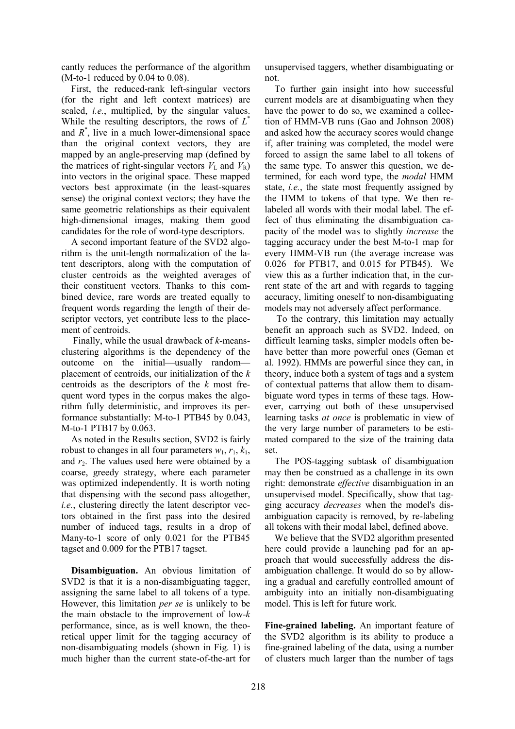cantly reduces the performance of the algorithm  $(M-to-1$  reduced by  $0.04$  to  $0.08$ ).

First, the reduced-rank left-singular vectors (for the right and left context matrices) are scaled, *i.e.*, multiplied, by the singular values. While the resulting descriptors, the rows of *L* \* and  $R^*$ , live in a much lower-dimensional space than the original context vectors, they are mapped by an angle-preserving map (defined by the matrices of right-singular vectors  $V<sub>L</sub>$  and  $V<sub>R</sub>$ ) into vectors in the original space. These mapped vectors best approximate (in the least-squares sense) the original context vectors; they have the same geometric relationships as their equivalent high-dimensional images, making them good candidates for the role of word-type descriptors.

A second important feature of the SVD2 algorithm is the unit-length normalization of the latent descriptors, along with the computation of cluster centroids as the weighted averages of their constituent vectors. Thanks to this combined device, rare words are treated equally to frequent words regarding the length of their descriptor vectors, yet contribute less to the placement of centroids.

Finally, while the usual drawback of *k*-meansclustering algorithms is the dependency of the outcome on the initial—usually random placement of centroids, our initialization of the *k* centroids as the descriptors of the *k* most frequent word types in the corpus makes the algorithm fully deterministic, and improves its performance substantially: M-to-1 PTB45 by 0.043, M-to-1 PTB17 by 0.063.

As noted in the Results section, SVD2 is fairly robust to changes in all four parameters  $w_1$ ,  $r_1$ ,  $k_1$ , and  $r<sub>2</sub>$ . The values used here were obtained by a coarse, greedy strategy, where each parameter was optimized independently. It is worth noting that dispensing with the second pass altogether, *i.e.*, clustering directly the latent descriptor vectors obtained in the first pass into the desired number of induced tags, results in a drop of Many-to-1 score of only 0.021 for the PTB45 tagset and 0.009 for the PTB17 tagset.

**Disambiguation.** An obvious limitation of SVD2 is that it is a non-disambiguating tagger, assigning the same label to all tokens of a type. However, this limitation *per se* is unlikely to be the main obstacle to the improvement of low-*k* performance, since, as is well known, the theoretical upper limit for the tagging accuracy of non-disambiguating models (shown in Fig. 1) is much higher than the current state-of-the-art for

unsupervised taggers, whether disambiguating or not.

To further gain insight into how successful current models are at disambiguating when they have the power to do so, we examined a collection of HMM-VB runs (Gao and Johnson 2008) and asked how the accuracy scores would change if, after training was completed, the model were forced to assign the same label to all tokens of the same type. To answer this question, we determined, for each word type, the *modal* HMM state, *i.e.*, the state most frequently assigned by the HMM to tokens of that type. We then relabeled all words with their modal label. The effect of thus eliminating the disambiguation capacity of the model was to slightly *increase* the tagging accuracy under the best M-to-1 map for every HMM-VB run (the average increase was 0.026 for PTB17, and 0.015 for PTB45). We view this as a further indication that, in the current state of the art and with regards to tagging accuracy, limiting oneself to non-disambiguating models may not adversely affect performance.

To the contrary, this limitation may actually benefit an approach such as SVD2. Indeed, on difficult learning tasks, simpler models often behave better than more powerful ones (Geman et al. 1992). HMMs are powerful since they can, in theory, induce both a system of tags and a system of contextual patterns that allow them to disambiguate word types in terms of these tags. However, carrying out both of these unsupervised learning tasks *at once* is problematic in view of the very large number of parameters to be estimated compared to the size of the training data set.

The POS-tagging subtask of disambiguation may then be construed as a challenge in its own right: demonstrate *effective* disambiguation in an unsupervised model. Specifically, show that tagging accuracy *decreases* when the model's disambiguation capacity is removed, by re-labeling all tokens with their modal label, defined above.

We believe that the SVD2 algorithm presented here could provide a launching pad for an approach that would successfully address the disambiguation challenge. It would do so by allowing a gradual and carefully controlled amount of ambiguity into an initially non-disambiguating model. This is left for future work.

**Fine-grained labeling.** An important feature of the SVD2 algorithm is its ability to produce a fine-grained labeling of the data, using a number of clusters much larger than the number of tags